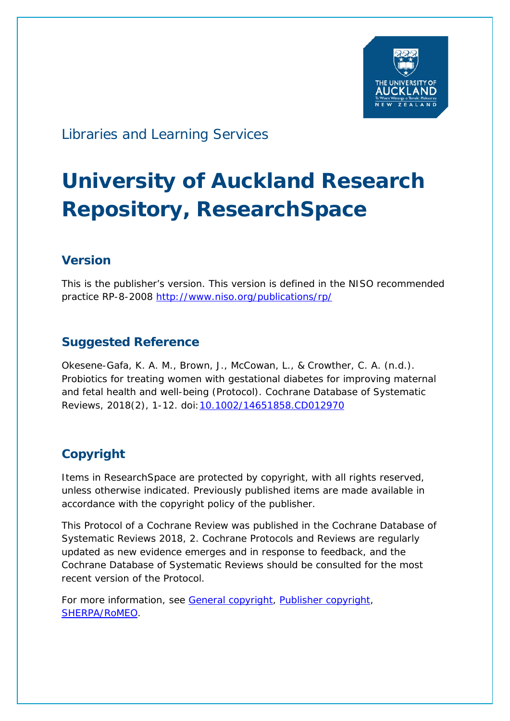

# Libraries and Learning Services

# **University of Auckland Research Repository, ResearchSpace**

# **Version**

This is the publisher's version. This version is defined in the NISO recommended practice RP-8-2008<http://www.niso.org/publications/rp/>

# **Suggested Reference**

Okesene-Gafa, K. A. M., Brown, J., McCowan, L., & Crowther, C. A. (n.d.). Probiotics for treating women with gestational diabetes for improving maternal and fetal health and well-being (Protocol). *Cochrane Database of Systematic Reviews*, 2018(2), 1-12. doi[:10.1002/14651858.CD012970](http://dx.doi.org/10.1002/14651858.CD012970)

# **Copyright**

Items in ResearchSpace are protected by copyright, with all rights reserved, unless otherwise indicated. Previously published items are made available in accordance with the copyright policy of the publisher.

This Protocol of a Cochrane Review was published in the *Cochrane Database of Systematic Reviews* 2018, 2. Cochrane Protocols and Reviews are regularly updated as new evidence emerges and in response to feedback, and the Cochrane Database of Systematic Reviews should be consulted for the most recent version of the Protocol.

For more information, see [General copyright,](http://www.library.auckland.ac.nz/services/research-support/depositing-theses/copyright) [Publisher copyright,](https://community.cochrane.org/editorial-and-publishing-policy-resource/licence-publication-forms/standard-cochrane-reviews/standard-cochrane-review) [SHERPA/RoMEO.](http://www.sherpa.ac.uk/romeo/issn/1469-493X/)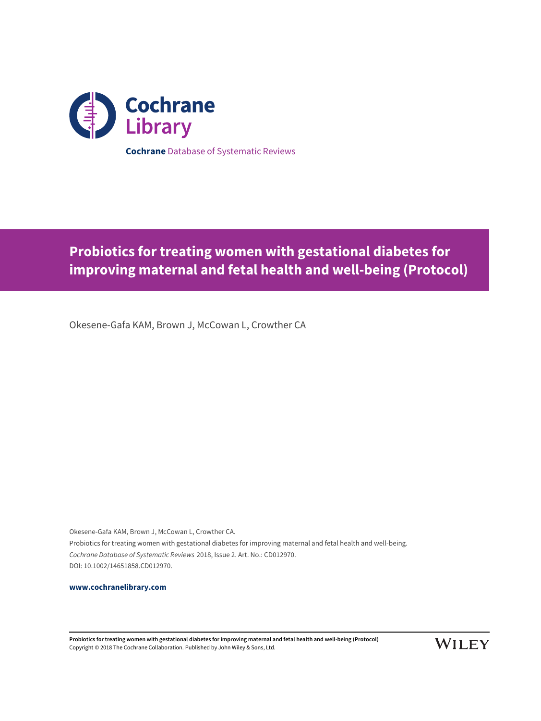

**Probiotics for treating women with gestational diabetes for improving maternal and fetal health and well-being (Protocol)**

Okesene-Gafa KAM, Brown J, McCowan L, Crowther CA

Okesene-Gafa KAM, Brown J, McCowan L, Crowther CA. Probiotics for treating women with gestational diabetes for improving maternal and fetal health and well-being. Cochrane Database of Systematic Reviews 2018, Issue 2. Art. No.: CD012970. DOI: 10.1002/14651858.CD012970.

**[www.cochranelibrary.com](http://www.cochranelibrary.com)**

**Probiotics for treating women with gestational diabetes for improving maternal and fetal health and well-being (Protocol)** Copyright © 2018 The Cochrane Collaboration. Published by John Wiley & Sons, Ltd.

**WILEY**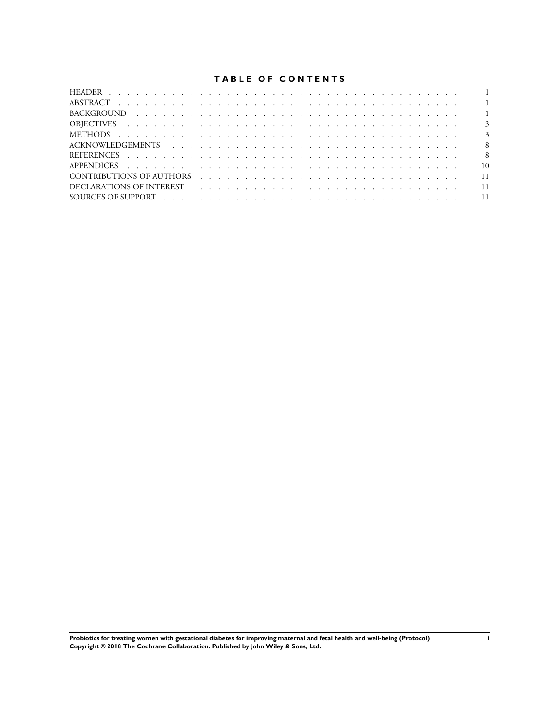# **TABLE OF CONTENTS**

|  | $\overline{\phantom{0}}$ 8 |
|--|----------------------------|
|  | $\overline{10}$            |
|  | 11                         |
|  |                            |
|  |                            |
|  |                            |

**Probiotics for treating women with gestational diabetes for improving maternal and fetal health and well-being (Protocol) i Copyright © 2018 The Cochrane Collaboration. Published by John Wiley & Sons, Ltd.**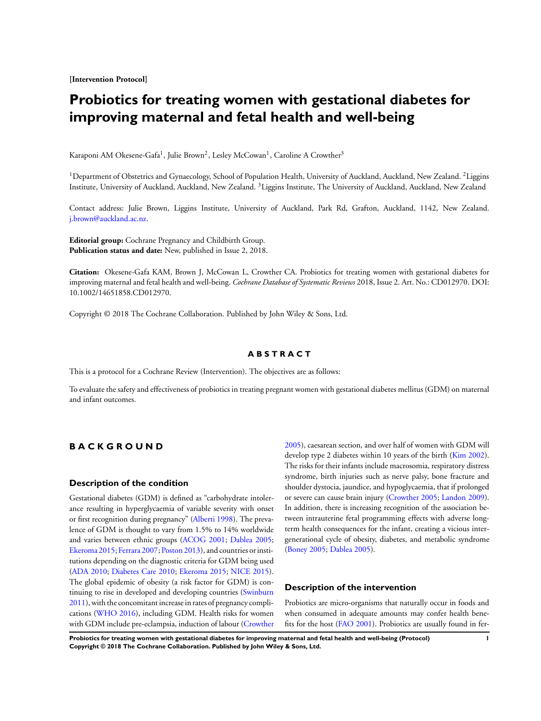<span id="page-3-0"></span>**[Intervention Protocol]**

# **Probiotics for treating women with gestational diabetes for improving maternal and fetal health and well-being**

Karaponi AM Okesene-Gafa<sup>1</sup>, Julie Brown<sup>2</sup>, Lesley McCowan<sup>1</sup>, Caroline A Crowther<sup>3</sup>

<sup>1</sup>Department of Obstetrics and Gynaecology, School of Population Health, University of Auckland, Auckland, New Zealand. <sup>2</sup>Liggins Institute, University of Auckland, Auckland, New Zealand. <sup>3</sup>Liggins Institute, The University of Auckland, Auckland, New Zealand

Contact address: Julie Brown, Liggins Institute, University of Auckland, Park Rd, Grafton, Auckland, 1142, New Zealand. [j.brown@auckland.ac.nz](mailto:j.brown@auckland.ac.nz).

**Editorial group:** Cochrane Pregnancy and Childbirth Group. **Publication status and date:** New, published in Issue 2, 2018.

**Citation:** Okesene-Gafa KAM, Brown J, McCowan L, Crowther CA. Probiotics for treating women with gestational diabetes for improving maternal and fetal health and well-being. *Cochrane Database of Systematic Reviews* 2018, Issue 2. Art. No.: CD012970. DOI: 10.1002/14651858.CD012970.

Copyright © 2018 The Cochrane Collaboration. Published by John Wiley & Sons, Ltd.

# **A B S T R A C T**

This is a protocol for a Cochrane Review (Intervention). The objectives are as follows:

To evaluate the safety and effectiveness of probiotics in treating pregnant women with gestational diabetes mellitus (GDM) on maternal and infant outcomes.

# **B A C K G R O U N D**

# **Description of the condition**

Gestational diabetes (GDM) is defined as "carbohydrate intolerance resulting in hyperglycaemia of variable severity with onset or first recognition during pregnancy" [\(Alberti 1998](#page-10-0)). The prevalence of GDM is thought to vary from 1.5% to 14% worldwide and varies between ethnic groups ([ACOG 2001;](#page-10-0) [Dablea 2005;](#page-10-0) [Ekeroma 2015;](#page-10-0) [Ferrara 2007](#page-10-0); [Poston 2013](#page-10-0)), and countries or institutions depending on the diagnostic criteria for GDM being used [\(ADA 2010;](#page-10-0) [Diabetes Care 2010](#page-10-0); [Ekeroma 2015](#page-10-0); [NICE 2015](#page-10-0)). The global epidemic of obesity (a risk factor for GDM) is continuing to rise in developed and developing countries [\(Swinburn](#page-10-0) [2011](#page-10-0)), with the concomitant increase in rates of pregnancy complications ([WHO 2016](#page-10-0)), including GDM. Health risks for women with GDM include pre-eclampsia, induction of labour ([Crowther](#page-10-0) [2005](#page-10-0)), caesarean section, and over half of women with GDM will develop type 2 diabetes within 10 years of the birth [\(Kim 2002](#page-10-0)). The risks for their infants include macrosomia, respiratory distress syndrome, birth injuries such as nerve palsy, bone fracture and shoulder dystocia, jaundice, and hypoglycaemia, that if prolonged or severe can cause brain injury [\(Crowther 2005](#page-10-0); [Landon 2009](#page-10-0)). In addition, there is increasing recognition of the association between intrauterine fetal programming effects with adverse longterm health consequences for the infant, creating a vicious intergenerational cycle of obesity, diabetes, and metabolic syndrome [\(Boney 2005](#page-10-0); [Dablea 2005\)](#page-10-0).

# **Description of the intervention**

Probiotics are micro-organisms that naturally occur in foods and when consumed in adequate amounts may confer health benefits for the host ([FAO 2001](#page-10-0)). Probiotics are usually found in fer-

**Probiotics for treating women with gestational diabetes for improving maternal and fetal health and well-being (Protocol) 1 Copyright © 2018 The Cochrane Collaboration. Published by John Wiley & Sons, Ltd.**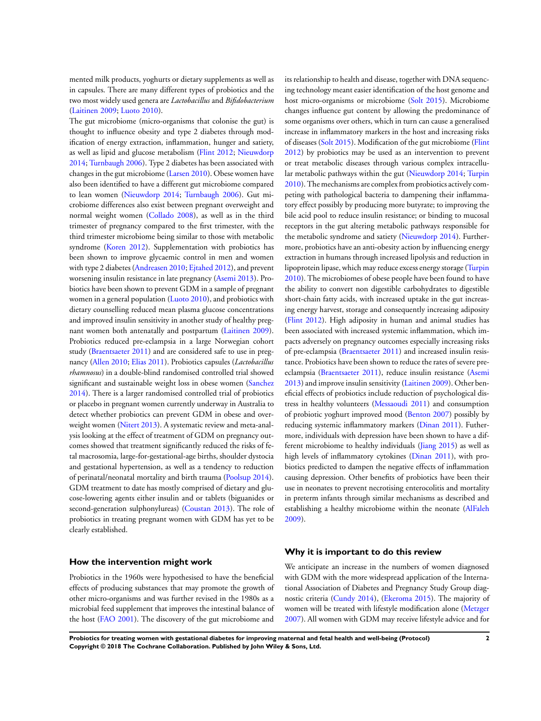mented milk products, yoghurts or dietary supplements as well as in capsules. There are many different types of probiotics and the two most widely used genera are *Lactobacillus* and *Bifidobacterium* [\(Laitinen 2009](#page-10-0); [Luoto 2010](#page-10-0)).

The gut microbiome (micro-organisms that colonise the gut) is thought to influence obesity and type 2 diabetes through modification of energy extraction, inflammation, hunger and satiety, as well as lipid and glucose metabolism [\(Flint 2012;](#page-10-0) [Nieuwdorp](#page-10-0) [2014](#page-10-0); [Turnbaugh 2006\)](#page-10-0). Type 2 diabetes has been associated with changes in the gut microbiome ([Larsen 2010](#page-10-0)). Obese women have also been identified to have a different gut microbiome compared to lean women [\(Nieuwdorp 2014](#page-10-0); [Turnbaugh 2006\)](#page-10-0). Gut microbiome differences also exist between pregnant overweight and normal weight women ([Collado 2008\)](#page-10-0), as well as in the third trimester of pregnancy compared to the first trimester, with the third trimester microbiome being similar to those with metabolic syndrome ([Koren 2012](#page-10-0)). Supplementation with probiotics has been shown to improve glycaemic control in men and women with type 2 diabetes [\(Andreasen 2010](#page-10-0); [Ejtahed 2012](#page-10-0)), and prevent worsening insulin resistance in late pregnancy ([Asemi 2013](#page-10-0)). Probiotics have been shown to prevent GDM in a sample of pregnant women in a general population ([Luoto 2010\)](#page-10-0), and probiotics with dietary counselling reduced mean plasma glucose concentrations and improved insulin sensitivity in another study of healthy pregnant women both antenatally and postpartum ([Laitinen 2009](#page-10-0)). Probiotics reduced pre-eclampsia in a large Norwegian cohort study [\(Braentsaeter 2011](#page-10-0)) and are considered safe to use in pregnancy ([Allen 2010](#page-10-0); [Elias 2011\)](#page-10-0). Probiotics capsules (*Lactobacillus rhamnosus*) in a double-blind randomised controlled trial showed significant and sustainable weight loss in obese women [\(Sanchez](#page-10-0) [2014](#page-10-0)). There is a larger randomised controlled trial of probiotics or placebo in pregnant women currently underway in Australia to detect whether probiotics can prevent GDM in obese and overweight women ([Nitert 2013](#page-10-0)). A systematic review and meta-analysis looking at the effect of treatment of GDM on pregnancy outcomes showed that treatment significantly reduced the risks of fetal macrosomia, large-for-gestational-age births, shoulder dystocia and gestational hypertension, as well as a tendency to reduction of perinatal/neonatal mortality and birth trauma ([Poolsup 2014](#page-10-0)). GDM treatment to date has mostly comprised of dietary and glucose-lowering agents either insulin and or tablets (biguanides or second-generation sulphonylureas) ([Coustan 2013](#page-10-0)). The role of probiotics in treating pregnant women with GDM has yet to be clearly established.

# **How the intervention might work**

Probiotics in the 1960s were hypothesised to have the beneficial effects of producing substances that may promote the growth of other micro-organisms and was further revised in the 1980s as a microbial feed supplement that improves the intestinal balance of the host ([FAO 2001\)](#page-10-0). The discovery of the gut microbiome and

its relationship to health and disease, together with DNA sequencing technology meant easier identification of the host genome and host micro-organisms or microbiome ([Solt 2015\)](#page-10-0). Microbiome changes influence gut content by allowing the predominance of some organisms over others, which in turn can cause a generalised increase in inflammatory markers in the host and increasing risks of diseases ([Solt 2015](#page-10-0)). Modification of the gut microbiome ([Flint](#page-10-0) [2012](#page-10-0)) by probiotics may be used as an intervention to prevent or treat metabolic diseases through various complex intracellular metabolic pathways within the gut ([Nieuwdorp 2014;](#page-10-0) [Turpin](#page-10-0) [2010](#page-10-0)). The mechanisms are complex from probiotics actively competing with pathological bacteria to dampening their inflammatory effect possibly by producing more butyrate; to improving the bile acid pool to reduce insulin resistance; or binding to mucosal receptors in the gut altering metabolic pathways responsible for the metabolic syndrome and satiety ([Nieuwdorp 2014\)](#page-10-0). Furthermore, probiotics have an anti-obesity action by influencing energy extraction in humans through increased lipolysis and reduction in lipoprotein lipase, which may reduce excess energy storage [\(Turpin](#page-10-0) [2010](#page-10-0)). The microbiomes of obese people have been found to have the ability to convert non digestible carbohydrates to digestible short-chain fatty acids, with increased uptake in the gut increasing energy harvest, storage and consequently increasing adiposity [\(Flint 2012](#page-10-0)). High adiposity in human and animal studies has been associated with increased systemic inflammation, which impacts adversely on pregnancy outcomes especially increasing risks of pre-eclampsia ([Braentsaeter 2011\)](#page-10-0) and increased insulin resistance. Probiotics have been shown to reduce the rates of severe preeclampsia ([Braentsaeter 2011](#page-10-0)), reduce insulin resistance ([Asemi](#page-10-0) [2013](#page-10-0)) and improve insulin sensitivity ([Laitinen 2009](#page-10-0)). Other beneficial effects of probiotics include reduction of psychological distress in healthy volunteers ([Messaoudi 2011\)](#page-10-0) and consumption of probiotic yoghurt improved mood [\(Benton 2007](#page-10-0)) possibly by reducing systemic inflammatory markers [\(Dinan 2011](#page-10-0)). Futhermore, individuals with depression have been shown to have a different microbiome to healthy individuals [\(Jiang 2015](#page-10-0)) as well as high levels of inflammatory cytokines ([Dinan 2011](#page-10-0)), with probiotics predicted to dampen the negative effects of inflammation causing depression. Other benefits of probiotics have been their use in neonates to prevent necrotising enterocolitis and mortality in preterm infants through similar mechanisms as described and establishing a healthy microbiome within the neonate ([AlFaleh](#page-10-0) [2009](#page-10-0)).

#### **Why it is important to do this review**

We anticipate an increase in the numbers of women diagnosed with GDM with the more widespread application of the International Association of Diabetes and Pregnancy Study Group diagnostic criteria ([Cundy 2014](#page-10-0)), [\(Ekeroma 2015](#page-10-0)). The majority of women will be treated with lifestyle modification alone ([Metzger](#page-10-0) [2007](#page-10-0)). All women with GDM may receive lifestyle advice and for

**Probiotics for treating women with gestational diabetes for improving maternal and fetal health and well-being (Protocol) 2 Copyright © 2018 The Cochrane Collaboration. Published by John Wiley & Sons, Ltd.**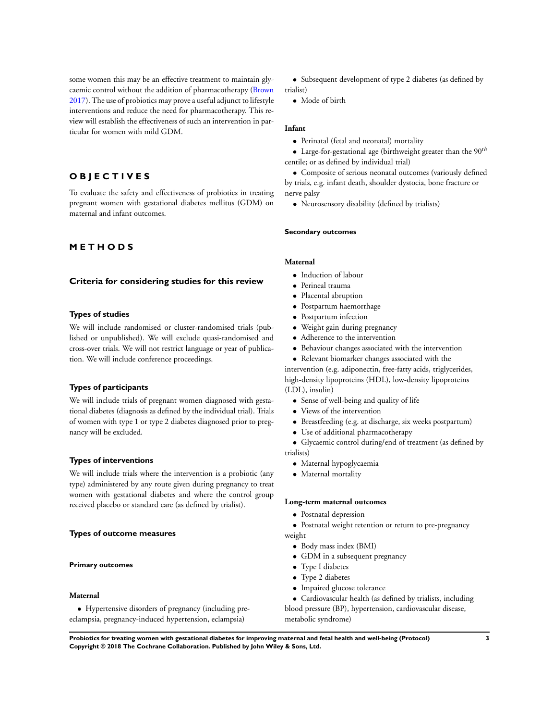some women this may be an effective treatment to maintain glycaemic control without the addition of pharmacotherapy [\(Brown](#page-10-0) [2017](#page-10-0)). The use of probiotics may prove a useful adjunct to lifestyle interventions and reduce the need for pharmacotherapy. This review will establish the effectiveness of such an intervention in particular for women with mild GDM.

# **O B J E C T I V E S**

To evaluate the safety and effectiveness of probiotics in treating pregnant women with gestational diabetes mellitus (GDM) on maternal and infant outcomes.

# **M E T H O D S**

# **Criteria for considering studies for this review**

# **Types of studies**

We will include randomised or cluster-randomised trials (published or unpublished). We will exclude quasi-randomised and cross-over trials. We will not restrict language or year of publication. We will include conference proceedings.

## **Types of participants**

We will include trials of pregnant women diagnosed with gestational diabetes (diagnosis as defined by the individual trial). Trials of women with type 1 or type 2 diabetes diagnosed prior to pregnancy will be excluded.

## **Types of interventions**

We will include trials where the intervention is a probiotic (any type) administered by any route given during pregnancy to treat women with gestational diabetes and where the control group received placebo or standard care (as defined by trialist).

## **Types of outcome measures**

### **Primary outcomes**

## **Maternal**

• Hypertensive disorders of pregnancy (including preeclampsia, pregnancy-induced hypertension, eclampsia)

• Subsequent development of type 2 diabetes (as defined by trialist)

• Mode of birth

# **Infant**

- Perinatal (fetal and neonatal) mortality
- Large-for-gestational age (birthweight greater than the  $90<sup>th</sup>$ centile; or as defined by individual trial)

• Composite of serious neonatal outcomes (variously defined by trials, e.g. infant death, shoulder dystocia, bone fracture or nerve palsy

• Neurosensory disability (defined by trialists)

## **Secondary outcomes**

## **Maternal**

- Induction of labour
- Perineal trauma
- Placental abruption
- Postpartum haemorrhage
- Postpartum infection
- Weight gain during pregnancy
- Adherence to the intervention
- Behaviour changes associated with the intervention
- Relevant biomarker changes associated with the

intervention (e.g. adiponectin, free-fatty acids, triglycerides, high-density lipoproteins (HDL), low-density lipoproteins (LDL), insulin)

- Sense of well-being and quality of life
- Views of the intervention
- Breastfeeding (e.g. at discharge, six weeks postpartum)
- Use of additional pharmacotherapy

• Glycaemic control during/end of treatment (as defined by trialists)

- Maternal hypoglycaemia
- Maternal mortality

## **Long***-***term maternal outcomes**

• Postnatal depression

• Postnatal weight retention or return to pre-pregnancy weight

- Body mass index (BMI)
- GDM in a subsequent pregnancy
- Type I diabetes
- Type 2 diabetes
- Impaired glucose tolerance

• Cardiovascular health (as defined by trialists, including blood pressure (BP), hypertension, cardiovascular disease, metabolic syndrome)

**Probiotics for treating women with gestational diabetes for improving maternal and fetal health and well-being (Protocol) 3 Copyright © 2018 The Cochrane Collaboration. Published by John Wiley & Sons, Ltd.**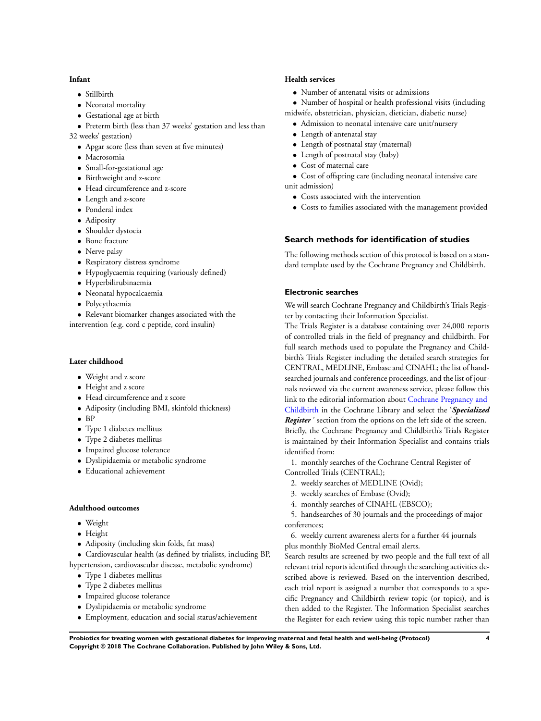#### **Infant**

- Stillbirth
- Neonatal mortality
- Gestational age at birth
- Preterm birth (less than 37 weeks' gestation and less than 32 weeks' gestation)
	- Apgar score (less than seven at five minutes)
	- Macrosomia
	- Small-for-gestational age
	- Birthweight and z-score
	- Head circumference and z-score
	- Length and z-score
	- Ponderal index
	- Adiposity
	- Shoulder dystocia
	- Bone fracture
	- Nerve palsy
	- Respiratory distress syndrome
	- Hypoglycaemia requiring (variously defined)
	- Hyperbilirubinaemia
	- Neonatal hypocalcaemia
	- Polycythaemia
- Relevant biomarker changes associated with the intervention (e.g. cord c peptide, cord insulin)

# **Later childhood**

- Weight and z score
- Height and z score
- Head circumference and z score
- Adiposity (including BMI, skinfold thickness)
- BP
- Type 1 diabetes mellitus
- Type 2 diabetes mellitus
- Impaired glucose tolerance
- Dyslipidaemia or metabolic syndrome
- Educational achievement

# **Adulthood outcomes**

- Weight
- Height
- Adiposity (including skin folds, fat mass)
- Cardiovascular health (as defined by trialists, including BP, hypertension, cardiovascular disease, metabolic syndrome)
	- Type 1 diabetes mellitus
	- Type 2 diabetes mellitus
	- Impaired glucose tolerance
	- Dyslipidaemia or metabolic syndrome
	- Employment, education and social status/achievement

# **Health services**

• Number of antenatal visits or admissions

• Number of hospital or health professional visits (including midwife, obstetrician, physician, dietician, diabetic nurse)

- Admission to neonatal intensive care unit/nursery
- Length of antenatal stay
- Length of postnatal stay (maternal)
- Length of postnatal stay (baby)
- Cost of maternal care
- Cost of offspring care (including neonatal intensive care unit admission)
	- Costs associated with the intervention
	- Costs to families associated with the management provided

# **Search methods for identification of studies**

The following methods section of this protocol is based on a standard template used by the Cochrane Pregnancy and Childbirth.

# **Electronic searches**

We will search Cochrane Pregnancy and Childbirth's Trials Register by contacting their Information Specialist.

The Trials Register is a database containing over 24,000 reports of controlled trials in the field of pregnancy and childbirth. For full search methods used to populate the Pregnancy and Childbirth's Trials Register including the detailed search strategies for CENTRAL, MEDLINE, Embase and CINAHL; the list of handsearched journals and conference proceedings, and the list of journals reviewed via the current awareness service, please follow this link to the editorial information about [Cochrane Pregnancy and](http://www.mrw.interscience.wiley.com/cochrane/clabout/articles/PREG/frame.html) [Childbirth](http://www.mrw.interscience.wiley.com/cochrane/clabout/articles/PREG/frame.html) in the Cochrane Library and select the '*Specialized Register* ' section from the options on the left side of the screen. Briefly, the Cochrane Pregnancy and Childbirth's Trials Register is maintained by their Information Specialist and contains trials identified from:

1. monthly searches of the Cochrane Central Register of Controlled Trials (CENTRAL);

- 2. weekly searches of MEDLINE (Ovid);
- 3. weekly searches of Embase (Ovid);
- 4. monthly searches of CINAHL (EBSCO);

5. handsearches of 30 journals and the proceedings of major conferences;

6. weekly current awareness alerts for a further 44 journals plus monthly BioMed Central email alerts.

Search results are screened by two people and the full text of all relevant trial reports identified through the searching activities described above is reviewed. Based on the intervention described, each trial report is assigned a number that corresponds to a specific Pregnancy and Childbirth review topic (or topics), and is then added to the Register. The Information Specialist searches the Register for each review using this topic number rather than

**Probiotics for treating women with gestational diabetes for improving maternal and fetal health and well-being (Protocol) 4 Copyright © 2018 The Cochrane Collaboration. Published by John Wiley & Sons, Ltd.**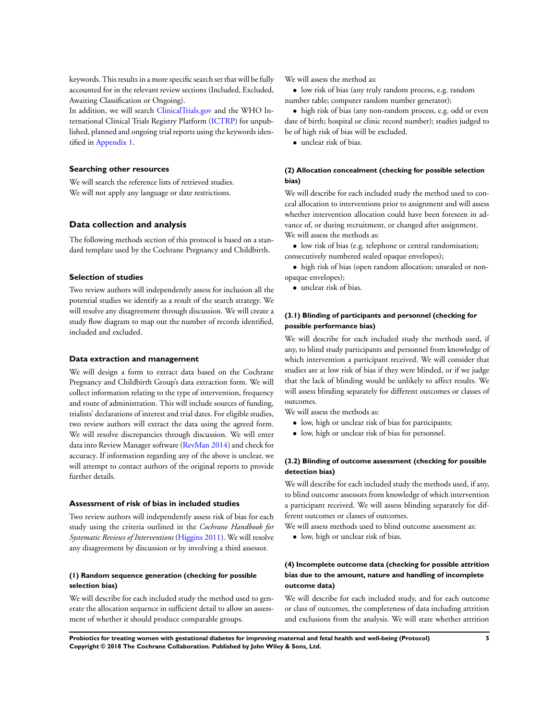keywords. This results in a more specific search set that will be fully accounted for in the relevant review sections (Included, Excluded, Awaiting Classification or Ongoing).

In addition, we will search [ClinicalTrials.gov](http://clinicaltrials.gov/) and the WHO International Clinical Trials Registry Platform [\(ICTRP](http://apps.who.int/trialsearch/)) for unpublished, planned and ongoing trial reports using the keywords identified in [Appendix 1](#page-13-0).

# **Searching other resources**

We will search the reference lists of retrieved studies. We will not apply any language or date restrictions.

# **Data collection and analysis**

The following methods section of this protocol is based on a standard template used by the Cochrane Pregnancy and Childbirth.

# **Selection of studies**

Two review authors will independently assess for inclusion all the potential studies we identify as a result of the search strategy. We will resolve any disagreement through discussion. We will create a study flow diagram to map out the number of records identified, included and excluded.

# **Data extraction and management**

We will design a form to extract data based on the Cochrane Pregnancy and Childbirth Group's data extraction form. We will collect information relating to the type of intervention, frequency and route of administration. This will include sources of funding, trialists' declarations of interest and trial dates. For eligible studies, two review authors will extract the data using the agreed form. We will resolve discrepancies through discussion. We will enter data into Review Manager software ([RevMan 2014](#page-10-0)) and check for accuracy. If information regarding any of the above is unclear, we will attempt to contact authors of the original reports to provide further details.

#### **Assessment of risk of bias in included studies**

Two review authors will independently assess risk of bias for each study using the criteria outlined in the *Cochrane Handbook for Systematic Reviews of Interventions* ([Higgins 2011](#page-10-0)). We will resolve any disagreement by discussion or by involving a third assessor.

# **(1) Random sequence generation (checking for possible selection bias)**

We will describe for each included study the method used to generate the allocation sequence in sufficient detail to allow an assessment of whether it should produce comparable groups.

We will assess the method as:

• low risk of bias (any truly random process, e.g. random number table; computer random number generator);

• high risk of bias (any non-random process, e.g. odd or even date of birth; hospital or clinic record number); studies judged to be of high risk of bias will be excluded.

• unclear risk of bias.

# **(2) Allocation concealment (checking for possible selection bias)**

We will describe for each included study the method used to conceal allocation to interventions prior to assignment and will assess whether intervention allocation could have been foreseen in advance of, or during recruitment, or changed after assignment. We will assess the methods as:

• low risk of bias (e.g. telephone or central randomisation; consecutively numbered sealed opaque envelopes);

• high risk of bias (open random allocation; unsealed or nonopaque envelopes);

• unclear risk of bias.

# **(3.1) Blinding of participants and personnel (checking for possible performance bias)**

We will describe for each included study the methods used, if any, to blind study participants and personnel from knowledge of which intervention a participant received. We will consider that studies are at low risk of bias if they were blinded, or if we judge that the lack of blinding would be unlikely to affect results. We will assess blinding separately for different outcomes or classes of outcomes.

We will assess the methods as:

- low, high or unclear risk of bias for participants;
- low, high or unclear risk of bias for personnel.

# **(3.2) Blinding of outcome assessment (checking for possible detection bias)**

We will describe for each included study the methods used, if any, to blind outcome assessors from knowledge of which intervention a participant received. We will assess blinding separately for different outcomes or classes of outcomes.

We will assess methods used to blind outcome assessment as:

• low, high or unclear risk of bias.

# **(4) Incomplete outcome data (checking for possible attrition bias due to the amount, nature and handling of incomplete outcome data)**

We will describe for each included study, and for each outcome or class of outcomes, the completeness of data including attrition and exclusions from the analysis. We will state whether attrition

**Probiotics for treating women with gestational diabetes for improving maternal and fetal health and well-being (Protocol) 5 Copyright © 2018 The Cochrane Collaboration. Published by John Wiley & Sons, Ltd.**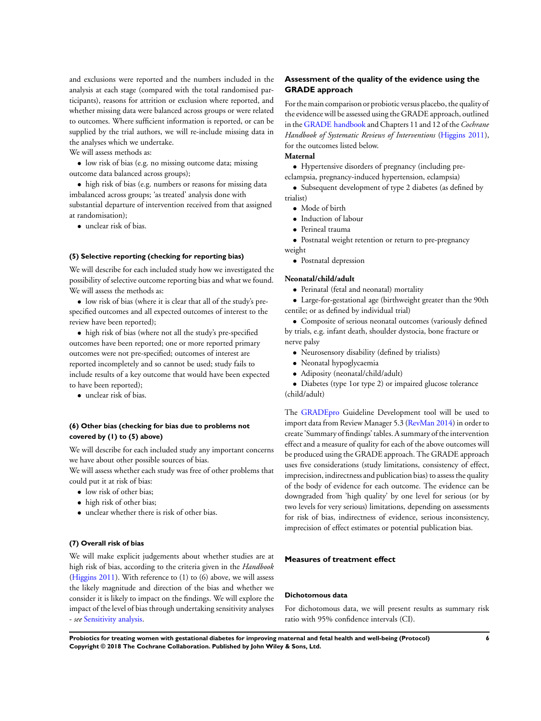and exclusions were reported and the numbers included in the analysis at each stage (compared with the total randomised participants), reasons for attrition or exclusion where reported, and whether missing data were balanced across groups or were related to outcomes. Where sufficient information is reported, or can be supplied by the trial authors, we will re-include missing data in the analyses which we undertake.

We will assess methods as:

• low risk of bias (e.g. no missing outcome data; missing outcome data balanced across groups);

• high risk of bias (e.g. numbers or reasons for missing data imbalanced across groups; 'as treated' analysis done with substantial departure of intervention received from that assigned at randomisation);

• unclear risk of bias.

#### **(5) Selective reporting (checking for reporting bias)**

We will describe for each included study how we investigated the possibility of selective outcome reporting bias and what we found. We will assess the methods as:

• low risk of bias (where it is clear that all of the study's prespecified outcomes and all expected outcomes of interest to the review have been reported);

• high risk of bias (where not all the study's pre-specified outcomes have been reported; one or more reported primary outcomes were not pre-specified; outcomes of interest are reported incompletely and so cannot be used; study fails to include results of a key outcome that would have been expected to have been reported);

• unclear risk of bias.

# **(6) Other bias (checking for bias due to problems not covered by (1) to (5) above)**

We will describe for each included study any important concerns we have about other possible sources of bias.

We will assess whether each study was free of other problems that could put it at risk of bias:

- low risk of other bias;
- high risk of other bias;
- unclear whether there is risk of other bias.

# **(7) Overall risk of bias**

We will make explicit judgements about whether studies are at high risk of bias, according to the criteria given in the *Handbook* [\(Higgins 2011\)](#page-10-0). With reference to (1) to (6) above, we will assess the likely magnitude and direction of the bias and whether we consider it is likely to impact on the findings. We will explore the impact of the level of bias through undertaking sensitivity analyses - *see* [Sensitivity analysis](#page-3-0).

# **Assessment of the quality of the evidence using the GRADE approach**

For the main comparison or probiotic versus placebo, the quality of the evidence will be assessed using the GRADE approach, outlined in the [GRADE handbook](http://gdt.guidelinedevelopment.org/app/handbook/handbook.html#h.hnedbo8gqjqk) and Chapters 11 and 12 of the *Cochrane Handbook of Systematic Reviews of Interventions* ([Higgins 2011](#page-10-0)), for the outcomes listed below.

# **Maternal**

• Hypertensive disorders of pregnancy (including pre-

- eclampsia, pregnancy-induced hypertension, eclampsia)
- Subsequent development of type 2 diabetes (as defined by trialist)
	- Mode of birth
	- Induction of labour
	- Perineal trauma
- Postnatal weight retention or return to pre-pregnancy
- weight
	- Postnatal depression

# **Neonatal/child/adult**

• Perinatal (fetal and neonatal) mortality

• Large-for-gestational age (birthweight greater than the 90th centile; or as defined by individual trial)

• Composite of serious neonatal outcomes (variously defined by trials, e.g. infant death, shoulder dystocia, bone fracture or nerve palsy

- Neurosensory disability (defined by trialists)
- Neonatal hypoglycaemia
- Adiposity (neonatal/child/adult)

• Diabetes (type 1or type 2) or impaired glucose tolerance (child/adult)

The [GRADEpro](http://www.guidelinedevelopment.org/) Guideline Development tool will be used to import data from Review Manager 5.3 ([RevMan 2014\)](#page-10-0) in order to create 'Summary of findings' tables. A summary of the intervention effect and a measure of quality for each of the above outcomes will be produced using the GRADE approach. The GRADE approach uses five considerations (study limitations, consistency of effect, imprecision, indirectness and publication bias) to assess the quality of the body of evidence for each outcome. The evidence can be downgraded from 'high quality' by one level for serious (or by two levels for very serious) limitations, depending on assessments for risk of bias, indirectness of evidence, serious inconsistency, imprecision of effect estimates or potential publication bias.

# **Measures of treatment effect**

#### **Dichotomous data**

For dichotomous data, we will present results as summary risk ratio with 95% confidence intervals (CI).

**Probiotics for treating women with gestational diabetes for improving maternal and fetal health and well-being (Protocol) 6 Copyright © 2018 The Cochrane Collaboration. Published by John Wiley & Sons, Ltd.**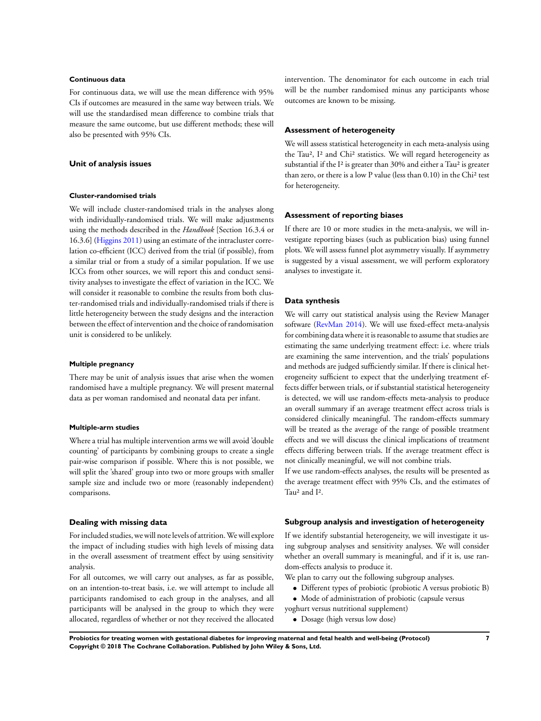#### **Continuous data**

For continuous data, we will use the mean difference with 95% CIs if outcomes are measured in the same way between trials. We will use the standardised mean difference to combine trials that measure the same outcome, but use different methods; these will also be presented with 95% CIs.

# **Unit of analysis issues**

#### **Cluster-randomised trials**

We will include cluster-randomised trials in the analyses along with individually-randomised trials. We will make adjustments using the methods described in the *Handbook* [Section 16.3.4 or 16.3.6] [\(Higgins 2011](#page-10-0)) using an estimate of the intracluster correlation co-efficient (ICC) derived from the trial (if possible), from a similar trial or from a study of a similar population. If we use ICCs from other sources, we will report this and conduct sensitivity analyses to investigate the effect of variation in the ICC. We will consider it reasonable to combine the results from both cluster-randomised trials and individually-randomised trials if there is little heterogeneity between the study designs and the interaction between the effect of intervention and the choice of randomisation unit is considered to be unlikely.

#### **Multiple pregnancy**

There may be unit of analysis issues that arise when the women randomised have a multiple pregnancy. We will present maternal data as per woman randomised and neonatal data per infant.

#### **Multiple-arm studies**

Where a trial has multiple intervention arms we will avoid 'double counting' of participants by combining groups to create a single pair-wise comparison if possible. Where this is not possible, we will split the 'shared' group into two or more groups with smaller sample size and include two or more (reasonably independent) comparisons.

#### **Dealing with missing data**

For included studies, we will note levels of attrition.We will explore the impact of including studies with high levels of missing data in the overall assessment of treatment effect by using sensitivity analysis.

For all outcomes, we will carry out analyses, as far as possible, on an intention-to-treat basis, i.e. we will attempt to include all participants randomised to each group in the analyses, and all participants will be analysed in the group to which they were allocated, regardless of whether or not they received the allocated

intervention. The denominator for each outcome in each trial will be the number randomised minus any participants whose outcomes are known to be missing.

#### **Assessment of heterogeneity**

We will assess statistical heterogeneity in each meta-analysis using the Tau², I² and Chi² statistics. We will regard heterogeneity as substantial if the I² is greater than 30% and either a Tau² is greater than zero, or there is a low P value (less than 0.10) in the Chi<sup>2</sup> test for heterogeneity.

#### **Assessment of reporting biases**

If there are 10 or more studies in the meta-analysis, we will investigate reporting biases (such as publication bias) using funnel plots. We will assess funnel plot asymmetry visually. If asymmetry is suggested by a visual assessment, we will perform exploratory analyses to investigate it.

# **Data synthesis**

We will carry out statistical analysis using the Review Manager software ([RevMan 2014](#page-10-0)). We will use fixed-effect meta-analysis for combining data where it is reasonable to assume that studies are estimating the same underlying treatment effect: i.e. where trials are examining the same intervention, and the trials' populations and methods are judged sufficiently similar. If there is clinical heterogeneity sufficient to expect that the underlying treatment effects differ between trials, or if substantial statistical heterogeneity is detected, we will use random-effects meta-analysis to produce an overall summary if an average treatment effect across trials is considered clinically meaningful. The random-effects summary will be treated as the average of the range of possible treatment effects and we will discuss the clinical implications of treatment effects differing between trials. If the average treatment effect is not clinically meaningful, we will not combine trials.

If we use random-effects analyses, the results will be presented as the average treatment effect with 95% CIs, and the estimates of Tau² and I².

#### **Subgroup analysis and investigation of heterogeneity**

If we identify substantial heterogeneity, we will investigate it using subgroup analyses and sensitivity analyses. We will consider whether an overall summary is meaningful, and if it is, use random-effects analysis to produce it.

We plan to carry out the following subgroup analyses.

- Different types of probiotic (probiotic A versus probiotic B)
- Mode of administration of probiotic (capsule versus

yoghurt versus nutritional supplement)

• Dosage (high versus low dose)

**Probiotics for treating women with gestational diabetes for improving maternal and fetal health and well-being (Protocol) 7 Copyright © 2018 The Cochrane Collaboration. Published by John Wiley & Sons, Ltd.**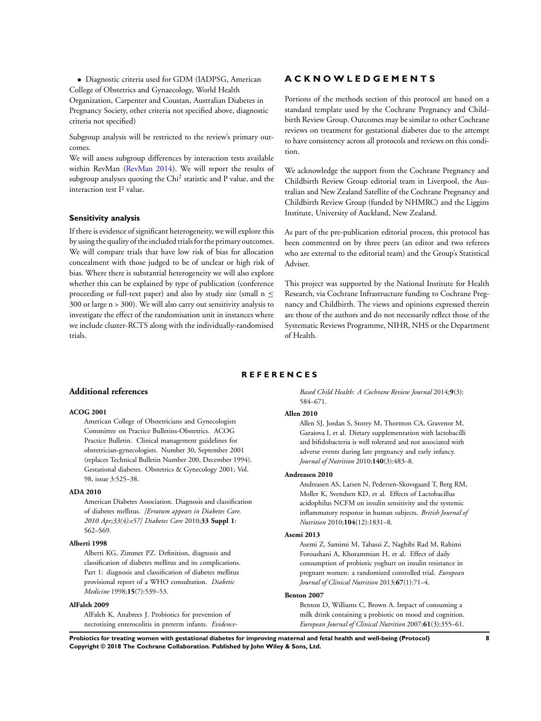<span id="page-10-0"></span>• Diagnostic criteria used for GDM (IADPSG, American College of Obstetrics and Gynaecology, World Health

Organization, Carpenter and Coustan, Australian Diabetes in Pregnancy Society, other criteria not specified above, diagnostic criteria not specified)

Subgroup analysis will be restricted to the review's primary outcomes.

We will assess subgroup differences by interaction tests available within RevMan (RevMan 2014). We will report the results of subgroup analyses quoting the Chi<sup>2</sup> statistic and P value, and the interaction test I² value.

#### **Sensitivity analysis**

If there is evidence of significant heterogeneity, we will explore this by using the quality of the included trials for the primary outcomes. We will compare trials that have low risk of bias for allocation concealment with those judged to be of unclear or high risk of bias. Where there is substantial heterogeneity we will also explore whether this can be explained by type of publication (conference proceeding or full-text paper) and also by study size (small  $n \leq$ 300 or large n > 300). We will also carry out sensitivity analysis to investigate the effect of the randomisation unit in instances where we include cluster-RCTS along with the individually-randomised trials.

# **A C K N O W L E D G E M E N T S**

Portions of the methods section of this protocol are based on a standard template used by the Cochrane Pregnancy and Childbirth Review Group. Outcomes may be similar to other Cochrane reviews on treatment for gestational diabetes due to the attempt to have consistency across all protocols and reviews on this condition.

We acknowledge the support from the Cochrane Pregnancy and Childbirth Review Group editorial team in Liverpool, the Australian and New Zealand Satellite of the Cochrane Pregnancy and Childbirth Review Group (funded by NHMRC) and the Liggins Institute, University of Auckland, New Zealand.

As part of the pre-publication editorial process, this protocol has been commented on by three peers (an editor and two referees who are external to the editorial team) and the Group's Statistical Adviser.

This project was supported by the National Institute for Health Research, via Cochrane Infrastructure funding to Cochrane Pregnancy and Childbirth. The views and opinions expressed therein are those of the authors and do not necessarily reflect those of the Systematic Reviews Programme, NIHR, NHS or the Department of Health.

# **R E F E R E N C E S**

#### **Additional references**

# **ACOG 2001**

American College of Obstetricians and Gynecologists Committee on Practice Bulletins-Obstetrics. ACOG Practice Bulletin. Clinical management guidelines for obstetrician-gynecologists. Number 30, September 2001 (replaces Technical Bulletin Number 200, December 1994). Gestational diabetes. Obstetrics & Gynecology 2001; Vol. 98, issue 3:525–38.

#### **ADA 2010**

American Diabetes Association. Diagnosis and classification of diabetes mellitus. *[Erratum appears in Diabetes Care. 2010 Apr;33(4):e57] Diabetes Care* 2010;**33 Suppl 1**: S62–S69.

#### **Alberti 1998**

Alberti KG, Zimmet PZ. Definition, diagnosis and classification of diabetes mellitus and its complications. Part 1: diagnosis and classification of diabetes mellitus provisional report of a WHO consultation. *Diabetic Medicine* 1998;**15**(7):539–53.

#### **AlFaleh 2009**

AlFaleh K, Anabrees J. Probiotics for prevention of necrotizing enterocolitis in preterm infants. *Evidence-* *Based Child Health: A Cochrane Review Journal* 2014;**9**(3): 584–671.

#### **Allen 2010**

Allen SJ, Jordan S, Storey M, Thornton CA, Gravenor M, Garaiova I, et al. Dietary supplementation with lactobacilli and bifidobacteria is well tolerated and not associated with adverse events during late pregnancy and early infancy. *Journal of Nutrition* 2010;**140**(3):483–8.

#### **Andreasen 2010**

Andreasen AS, Larsen N, Pedersen-Skovsgaard T, Berg RM, Moller K, Svendsen KD, et al. Effects of Lactobacillus acidophilus NCFM on insulin sensitivity and the systemic inflammatory response in human subjects. *British Journal of Nutrition* 2010;**104**(12):1831–8.

#### **Asemi 2013**

Asemi Z, Samimi M, Tabassi Z, Naghibi Rad M, Rahimi Foroushani A, Khorammian H, et al. Effect of daily consumption of probiotic yoghurt on insulin resistance in pregnant women: a randomized controlled trial. *European Journal of Clinical Nutrition* 2013;**67**(1):71–4.

#### **Benton 2007**

Benton D, Williams C, Brown A. Impact of consuming a milk drink containing a probiotic on mood and cognition. *European Journal of Clinical Nutrition* 2007;**61**(3):355–61.

**Probiotics for treating women with gestational diabetes for improving maternal and fetal health and well-being (Protocol) 8 Copyright © 2018 The Cochrane Collaboration. Published by John Wiley & Sons, Ltd.**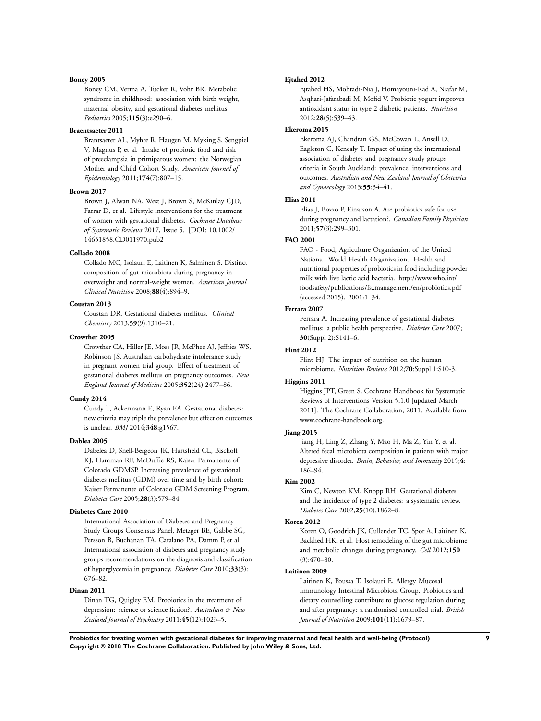#### **Boney 2005**

Boney CM, Verma A, Tucker R, Vohr BR. Metabolic syndrome in childhood: association with birth weight, maternal obesity, and gestational diabetes mellitus. *Pediatrics* 2005;**115**(3):e290–6.

#### **Braentsaeter 2011**

Brantsaeter AL, Myhre R, Haugen M, Myking S, Sengpiel V, Magnus P, et al. Intake of probiotic food and risk of preeclampsia in primiparous women: the Norwegian Mother and Child Cohort Study. *American Journal of Epidemiology* 2011;**174**(7):807–15.

# **Brown 2017**

Brown J, Alwan NA, West J, Brown S, McKinlay CJD, Farrar D, et al. Lifestyle interventions for the treatment of women with gestational diabetes. *Cochrane Database of Systematic Reviews* 2017, Issue 5. [DOI: 10.1002/ 14651858.CD011970.pub2

#### **Collado 2008**

Collado MC, Isolauri E, Laitinen K, Salminen S. Distinct composition of gut microbiota during pregnancy in overweight and normal-weight women. *American Journal Clinical Nutrition* 2008;**88**(4):894–9.

#### **Coustan 2013**

Coustan DR. Gestational diabetes mellitus. *Clinical Chemistry* 2013;**59**(9):1310–21.

#### **Crowther 2005**

Crowther CA, Hiller JE, Moss JR, McPhee AJ, Jeffries WS, Robinson JS. Australian carbohydrate intolerance study in pregnant women trial group. Effect of treatment of gestational diabetes mellitus on pregnancy outcomes. *New England Journal of Medicine* 2005;**352**(24):2477–86.

# **Cundy 2014**

Cundy T, Ackermann E, Ryan EA. Gestational diabetes: new criteria may triple the prevalence but effect on outcomes is unclear. *BMJ* 2014;**348**:g1567.

#### **Dablea 2005**

Dabelea D, Snell-Bergeon JK, Hartsfield CL, Bischoff KJ, Hamman RF, McDuffie RS, Kaiser Permanente of Colorado GDMSP. Increasing prevalence of gestational diabetes mellitus (GDM) over time and by birth cohort: Kaiser Permanente of Colorado GDM Screening Program. *Diabetes Care* 2005;**28**(3):579–84.

#### **Diabetes Care 2010**

International Association of Diabetes and Pregnancy Study Groups Consensus Panel, Metzger BE, Gabbe SG, Persson B, Buchanan TA, Catalano PA, Damm P, et al. International association of diabetes and pregnancy study groups recommendations on the diagnosis and classification of hyperglycemia in pregnancy. *Diabetes Care* 2010;**33**(3): 676–82.

#### **Dinan 2011**

Dinan TG, Quigley EM. Probiotics in the treatment of depression: science or science fiction?. *Australian & New Zealand Journal of Psychiatry* 2011;**45**(12):1023–5.

#### **Ejtahed 2012**

Ejtahed HS, Mohtadi-Nia J, Homayouni-Rad A, Niafar M, Asqhari-Jafarabadi M, Mofid V. Probiotic yogurt improves antioxidant status in type 2 diabetic patients. *Nutrition* 2012;**28**(5):539–43.

#### **Ekeroma 2015**

Ekeroma AJ, Chandran GS, McCowan L, Ansell D, Eagleton C, Kenealy T. Impact of using the international association of diabetes and pregnancy study groups criteria in South Auckland: prevalence, interventions and outcomes. *Australian and New Zealand Journal of Obstetrics and Gynaecology* 2015;**55**:34–41.

#### **Elias 2011**

Elias J, Bozzo P, Einarson A. Are probiotics safe for use during pregnancy and lactation?. *Canadian Family Physician* 2011;**57**(3):299–301.

### **FAO 2001**

FAO - Food, Agriculture Organization of the United Nations. World Health Organization. Health and nutritional properties of probiotics in food including powder milk with live lactic acid bacteria. http://www.who.int/ foodsafety/publications/fs management/en/probiotics.pdf (accessed 2015). 2001:1–34.

#### **Ferrara 2007**

Ferrara A. Increasing prevalence of gestational diabetes mellitus: a public health perspective. *Diabetes Care* 2007; **30**(Suppl 2):S141–6.

#### **Flint 2012**

Flint HJ. The impact of nutrition on the human microbiome. *Nutrition Reviews* 2012;**70**:Suppl 1:S10-3.

#### **Higgins 2011**

Higgins JPT, Green S. Cochrane Handbook for Systematic Reviews of Interventions Version 5.1.0 [updated March 2011]. The Cochrane Collaboration, 2011. Available from www.cochrane-handbook.org.

# **Jiang 2015**

Jiang H, Ling Z, Zhang Y, Mao H, Ma Z, Yin Y, et al. Altered fecal microbiota composition in patients with major depressive disorder. *Brain, Behavior, and Immunity* 2015;**4**: 186–94.

#### **Kim 2002**

Kim C, Newton KM, Knopp RH. Gestational diabetes and the incidence of type 2 diabetes: a systematic review. *Diabetes Care* 2002;**25**(10):1862–8.

#### **Koren 2012**

Koren O, Goodrich JK, Cullender TC, Spor A, Laitinen K, Backhed HK, et al. Host remodeling of the gut microbiome and metabolic changes during pregnancy. *Cell* 2012;**150** (3):470–80.

# **Laitinen 2009**

Laitinen K, Poussa T, Isolauri E, Allergy Mucosal Immunology Intestinal Microbiota Group. Probiotics and dietary counselling contribute to glucose regulation during and after pregnancy: a randomised controlled trial. *British Journal of Nutrition* 2009;**101**(11):1679–87.

**Probiotics for treating women with gestational diabetes for improving maternal and fetal health and well-being (Protocol) 9 Copyright © 2018 The Cochrane Collaboration. Published by John Wiley & Sons, Ltd.**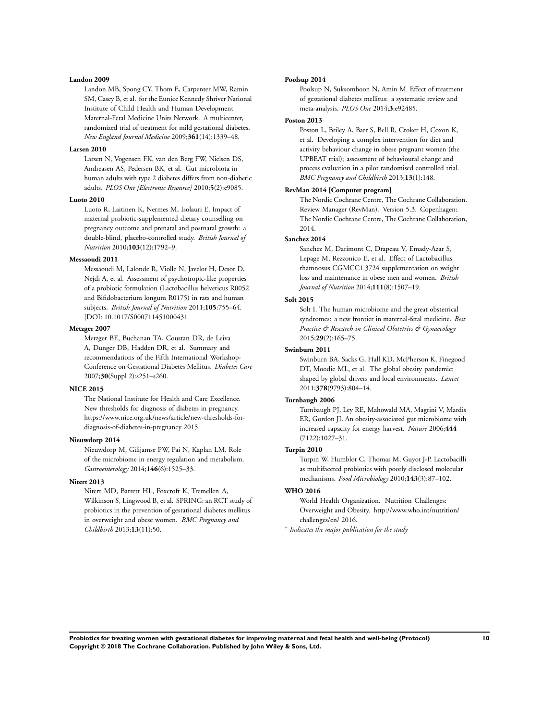#### **Landon 2009**

Landon MB, Spong CY, Thom E, Carpenter MW, Ramin SM, Casey B, et al. for the Eunice Kennedy Shriver National Institute of Child Health and Human Development Maternal-Fetal Medicine Units Network. A multicenter, randomized trial of treatment for mild gestational diabetes. *New England Journal Medicine* 2009;**361**(14):1339–48.

#### **Larsen 2010**

Larsen N, Vogensen FK, van den Berg FW, Nielsen DS, Andreasen AS, Pedersen BK, et al. Gut microbiota in human adults with type 2 diabetes differs from non-diabetic adults. *PLOS One [Electronic Resource]* 2010;**5**(2):e9085.

#### **Luoto 2010**

Luoto R, Laitinen K, Nermes M, Isolauri E. Impact of maternal probiotic-supplemented dietary counselling on pregnancy outcome and prenatal and postnatal growth: a double-blind, placebo-controlled study. *British Journal of Nutrition* 2010;**103**(12):1792–9.

# **Messaoudi 2011**

Messaoudi M, Lalonde R, Violle N, Javelot H, Desor D, Nejdi A, et al. Assessment of psychotropic-like properties of a probiotic formulation (Lactobacillus helveticus R0052 and Bifidobacterium longum R0175) in rats and human subjects. *British Journal of Nutrition* 2011;**105**:755–64. [DOI: 10.1017/S000711451000431

#### **Metzger 2007**

Metzger BE, Buchanan TA, Coustan DR, de Leiva A, Dunger DB, Hadden DR, et al. Summary and recommendations of the Fifth International Workshop-Conference on Gestational Diabetes Mellitus. *Diabetes Care* 2007;**30**(Suppl 2):s251–s260.

#### **NICE 2015**

The National Institute for Health and Care Excellence. New thresholds for diagnosis of diabetes in pregnancy. https://www.nice.org.uk/news/article/new-thresholds-fordiagnosis-of-diabetes-in-pregnancy 2015.

#### **Nieuwdorp 2014**

Nieuwdorp M, Gilijamse PW, Pai N, Kaplan LM. Role of the microbiome in energy regulation and metabolism. *Gastroenterology* 2014;**146**(6):1525–33.

#### **Nitert 2013**

Nitert MD, Barrett HL, Foxcroft K, Tremellen A, Wilkinson S, Lingwood B, et al. SPRING: an RCT study of probiotics in the prevention of gestational diabetes mellitus in overweight and obese women. *BMC Pregnancy and Childbirth* 2013;**13**(11):50.

#### **Poolsup 2014**

Poolsup N, Suksomboon N, Amin M. Effect of treatment of gestational diabetes mellitus: a systematic review and meta-analysis. *PLOS One* 2014;**3**:e92485.

#### **Poston 2013**

Poston L, Briley A, Barr S, Bell R, Croker H, Coxon K, et al. Developing a complex intervention for diet and activity behaviour change in obese pregnant women (the UPBEAT trial); assessment of behavioural change and process evaluation in a pilot randomised controlled trial. *BMC Pregnancy and Childbirth* 2013;**13**(1):148.

#### **RevMan 2014 [Computer program]**

The Nordic Cochrane Centre, The Cochrane Collaboration. Review Manager (RevMan). Version 5.3. Copenhagen: The Nordic Cochrane Centre, The Cochrane Collaboration, 2014.

#### **Sanchez 2014**

Sanchez M, Darimont C, Drapeau V, Emady-Azar S, Lepage M, Rezzonico E, et al. Effect of Lactobacillus rhamnosus CGMCC1.3724 supplementation on weight loss and maintenance in obese men and women. *British Journal of Nutrition* 2014;**111**(8):1507–19.

# **Solt 2015**

Solt I. The human microbiome and the great obstetrical syndromes: a new frontier in maternal-fetal medicine. *Best Practice & Research in Clinical Obstetrics & Gynaecology* 2015;**29**(2):165–75.

#### **Swinburn 2011**

Swinburn BA, Sacks G, Hall KD, McPherson K, Finegood DT, Moodie ML, et al. The global obesity pandemic: shaped by global drivers and local environments. *Lancet* 2011;**378**(9793):804–14.

#### **Turnbaugh 2006**

Turnbaugh PJ, Ley RE, Mahowald MA, Magrini V, Mardis ER, Gordon JI. An obesity-associated gut microbiome with increased capacity for energy harvest. *Nature* 2006;**444** (7122):1027–31.

# **Turpin 2010**

Turpin W, Humblot C, Thomas M, Guyot J-P. Lactobacilli as multifaceted probiotics with poorly disclosed molecular mechanisms. *Food Microbiology* 2010;**143**(3):87–102.

#### **WHO 2016**

World Health Organization. Nutrition Challenges: Overweight and Obesity. http://www.who.int/nutrition/ challenges/en/ 2016.

∗ *Indicates the major publication for the study*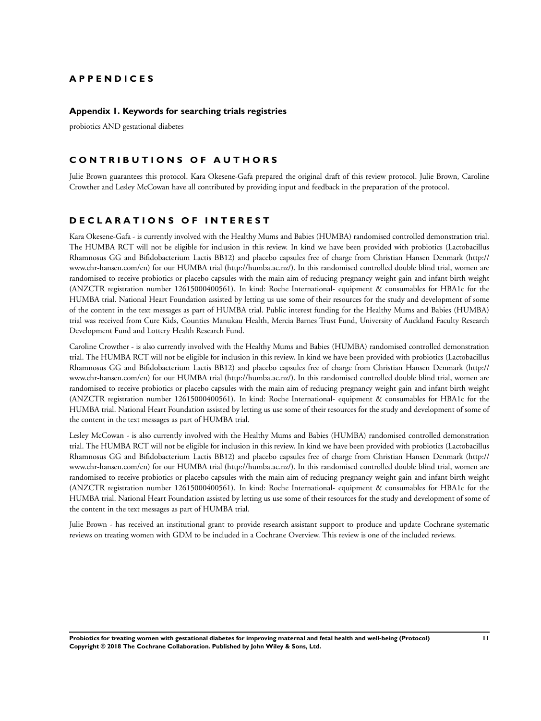# <span id="page-13-0"></span>**A P P E N D I C E S**

### **Appendix 1. Keywords for searching trials registries**

probiotics AND gestational diabetes

# **C O N T R I B U T I O N S O F A U T H O R S**

Julie Brown guarantees this protocol. Kara Okesene-Gafa prepared the original draft of this review protocol. Julie Brown, Caroline Crowther and Lesley McCowan have all contributed by providing input and feedback in the preparation of the protocol.

# **D E C L A R A T I O N S O F I N T E R E S T**

Kara Okesene-Gafa - is currently involved with the Healthy Mums and Babies (HUMBA) randomised controlled demonstration trial. The HUMBA RCT will not be eligible for inclusion in this review. In kind we have been provided with probiotics (Lactobacillus Rhamnosus GG and Bifidobacterium Lactis BB12) and placebo capsules free of charge from Christian Hansen Denmark (http:// www.chr-hansen.com/en) for our HUMBA trial (http://humba.ac.nz/). In this randomised controlled double blind trial, women are randomised to receive probiotics or placebo capsules with the main aim of reducing pregnancy weight gain and infant birth weight (ANZCTR registration number 12615000400561). In kind: Roche International- equipment & consumables for HBA1c for the HUMBA trial. National Heart Foundation assisted by letting us use some of their resources for the study and development of some of the content in the text messages as part of HUMBA trial. Public interest funding for the Healthy Mums and Babies (HUMBA) trial was received from Cure Kids, Counties Manukau Health, Mercia Barnes Trust Fund, University of Auckland Faculty Research Development Fund and Lottery Health Research Fund.

Caroline Crowther - is also currently involved with the Healthy Mums and Babies (HUMBA) randomised controlled demonstration trial. The HUMBA RCT will not be eligible for inclusion in this review. In kind we have been provided with probiotics (Lactobacillus Rhamnosus GG and Bifidobacterium Lactis BB12) and placebo capsules free of charge from Christian Hansen Denmark (http:// www.chr-hansen.com/en) for our HUMBA trial (http://humba.ac.nz/). In this randomised controlled double blind trial, women are randomised to receive probiotics or placebo capsules with the main aim of reducing pregnancy weight gain and infant birth weight (ANZCTR registration number 12615000400561). In kind: Roche International- equipment & consumables for HBA1c for the HUMBA trial. National Heart Foundation assisted by letting us use some of their resources for the study and development of some of the content in the text messages as part of HUMBA trial.

Lesley McCowan - is also currently involved with the Healthy Mums and Babies (HUMBA) randomised controlled demonstration trial. The HUMBA RCT will not be eligible for inclusion in this review. In kind we have been provided with probiotics (Lactobacillus Rhamnosus GG and Bifidobacterium Lactis BB12) and placebo capsules free of charge from Christian Hansen Denmark (http:// www.chr-hansen.com/en) for our HUMBA trial (http://humba.ac.nz/). In this randomised controlled double blind trial, women are randomised to receive probiotics or placebo capsules with the main aim of reducing pregnancy weight gain and infant birth weight (ANZCTR registration number 12615000400561). In kind: Roche International- equipment & consumables for HBA1c for the HUMBA trial. National Heart Foundation assisted by letting us use some of their resources for the study and development of some of the content in the text messages as part of HUMBA trial.

Julie Brown - has received an institutional grant to provide research assistant support to produce and update Cochrane systematic reviews on treating women with GDM to be included in a Cochrane Overview. This review is one of the included reviews.